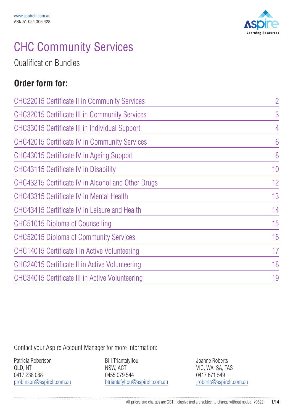

## CHC Community Services

Qualification Bundles

### **Order form for:**

| <b>CHC22015 Certificate II in Community Services</b>  | $\overline{2}$  |
|-------------------------------------------------------|-----------------|
| <b>CHC32015 Certificate III in Community Services</b> | 3               |
| <b>CHC33015 Certificate III in Individual Support</b> | 4               |
| <b>CHC42015 Certificate IV in Community Services</b>  | $6\overline{6}$ |
| CHC43015 Certificate IV in Ageing Support             | 8               |
| CHC43115 Certificate IV in Disability                 | 10              |
| CHC43215 Certificate IV in Alcohol and Other Drugs    | 12              |
| <b>CHC43315 Certificate IV in Mental Health</b>       | 13              |
| CHC43415 Certificate IV in Leisure and Health         | 14              |
| CHC51015 Diploma of Counselling                       | 15              |
| <b>CHC52015 Diploma of Community Services</b>         | 16              |
| CHC14015 Certificate I in Active Volunteering         | 17              |
| CHC24015 Certificate II in Active Volunteering        | 18              |
| CHC34015 Certificate III in Active Volunteering       | 19              |

Contact your Aspire Account Manager for more information:

Patricia Robertson QLD, NT 0417 238 088 probinson@aspirelr.com.au

Bill Triantafyllou NSW, ACT 0455 079 544 btriantafyllou@aspirelr.com.au Joanne Roberts VIC, WA, SA, TAS 0417 671 549 jroberts@aspirelr.com.au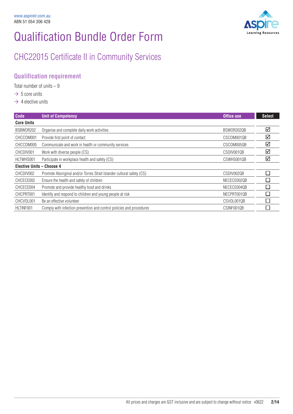

## CHC22015 Certificate II in Community Services

#### **Qualification requirement**

Total number of units  $-9$ 

- $\rightarrow$  5 core units
- $\rightarrow$  4 elective units

| Code                             | <b>Unit of Competency</b>                                             | Office use  | <b>Select</b> |
|----------------------------------|-----------------------------------------------------------------------|-------------|---------------|
| <b>Core Units</b>                |                                                                       |             |               |
| BSBW0R202                        | Organise and complete daily work activities                           | BSW0R202QB  | ☑             |
| CHCCOM001                        | Provide first point of contact                                        | CSCOM001QB  | ☑             |
| CHCCOM005                        | Communicate and work in health or community services                  | CSCOM005QB  | ☑             |
| CHCDIV001                        | Work with diverse people (CS)                                         | CSDIV001QB  | ☑             |
| HLTWHS001                        | Participate in workplace health and safety (CS)                       | CSWHS001QB  | ☑             |
| <b>Elective Units - Choose 4</b> |                                                                       |             |               |
| CHCDIV002                        | Promote Aboriginal and/or Torres Strait Islander cultural safety (CS) | CSDIV0020B  |               |
| CHCECE002                        | Ensure the health and safety of children                              | NECECE0020B |               |
| CHCECE004                        | Promote and provide healthy food and drinks                           | NECECE004QB |               |
| CHCPRT001                        | Identify and respond to children and young people at risk             | NECPRT001QB |               |
| CHCVOL001                        | Be an effective volunteer                                             | CSVOL001QB  |               |
| HLTINF001                        | Comply with infection prevention and control policies and procedures  | CSINF001QB  |               |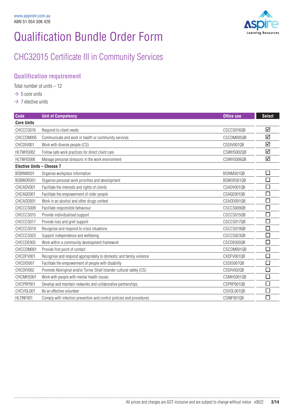

### CHC32015 Certificate III in Community Services

### **Qualification requirement**

Total number of units – 12

- $\rightarrow$  5 core units
- $\rightarrow$  7 elective units

| <b>Code</b>                      | <b>Unit of Competency</b>                                             | <b>Office use</b> | <b>Select</b> |
|----------------------------------|-----------------------------------------------------------------------|-------------------|---------------|
| <b>Core Units</b>                |                                                                       |                   |               |
| CHCCCS016                        | Respond to client needs                                               | CSCCS016QB        | ☑             |
| CHCCOM005                        | Communicate and work in health or community services                  | CSCOM005QB        | ☑             |
| CHCDIV001                        | Work with diverse people (CS)                                         | CSDIV001QB        | ☑             |
| HLTWHS002                        | Follow safe work practices for direct client care                     | CSWHS002QB        | ☑             |
| HLTWHS006                        | Manage personal stressors in the work environment                     | CSWHS006QB        | ☑             |
| <b>Elective Units - Choose 7</b> |                                                                       |                   |               |
| BSBINM301                        | Organise workplace information                                        | BSINM301QB        |               |
| BSBW0R301                        | Organise personal work priorities and development                     | BSW0R301QB        |               |
| CHCADV001                        | Facilitate the interests and rights of clients                        | CSADV001QB        |               |
| CHCAGE001                        | Facilitate the empowerment of older people                            | CSAGE001QB        |               |
| CHCAOD001                        | Work in an alcohol and other drugs context                            | CSAOD0010B        |               |
| CHCCCS009                        | Facilitate responsible behaviour                                      | CSCCS009QB        |               |
| CHCCCS015                        | Provide individualised support                                        | CSCCS015QB        |               |
| CHCCCS017                        | Provide loss and grief support                                        | CSCCS017QB        |               |
| CHCCCS019                        | Recognise and respond to crisis situations                            | CSCCS019QB        |               |
| CHCCCS023                        | Support independence and wellbeing                                    | CSCCS023QB        |               |
| CHCCDE003                        | Work within a community development framework                         | CSCDE003QB        | $\sim$        |
| CHCCOM001                        | Provide first point of contact                                        | CSCOM001QB        |               |
| CHCDFV001                        | Recognise and respond appropriately to domestic and family violence   | CXDFV001QB        | $\mathcal{L}$ |
| CHCDIS007                        | Facilitate the empowerment of people with disability                  | CSDIS007QB        |               |
| CHCDIV002                        | Promote Aboriginal and/or Torres Strait Islander cultural safety (CS) | CSDIV002QB        |               |
| CHCMHS001                        | Work with people with mental health issues                            | CSMHS001QB        |               |
| CHCPRP001                        | Develop and maintain networks and collaborative partnerships          | CSPRP001QB        |               |
| CHCVOL001                        | Be an effective volunteer                                             | CSVOL001QB        |               |
| HLTINF001                        | Comply with infection prevention and control policies and procedures  | CSINF001QB        |               |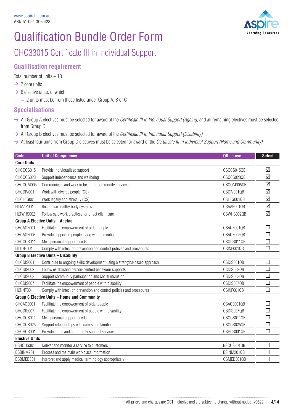

### CHC33015 Certificate III in Individual Support

#### **Qualification requirement**

Total number of units – 13

- $\rightarrow$  7 core units
- $\rightarrow$  6 elective units, of which:
	- 2 units must be from those listed under Group A, B or C

#### **Specialisations**

- $\rightarrow$  All Group A electives must be selected for award of the *Certificate III in Individual Support (Ageing)* and all remaining electives must be selected from Group D.
- $\rightarrow$  All Group B electives must be selected for award of the *Certificate III in Individual Support (Disability)*.
- $\rightarrow$  At least four units from Group C electives must be selected for award of the *Certificate III in Individual Support (Home and Community)*.

| Code                  | <b>Unit of Competency</b>                                                 | <b>Office use</b> | <b>Select</b>               |
|-----------------------|---------------------------------------------------------------------------|-------------------|-----------------------------|
| <b>Core Units</b>     |                                                                           |                   |                             |
| CHCCCS015             | Provide individualised support                                            | CSCCS015QB        | ☑                           |
| CHCCCS023             | Support independence and wellbeing                                        | CSCCS023QB        | ☑                           |
| CHCCOM005             | Communicate and work in health or community services                      | CSCOM005QB        | ☑                           |
| CHCDIV001             | Work with diverse people (CS)                                             | CSDIV001QB        | ☑                           |
| CHCLEG001             | Work legally and ethically (CS)                                           | CSLEG001QB        | ☑                           |
| HLTAAP001             | Recognise healthy body systems                                            | CSAAP001QB        | ☑                           |
| HLTWHS002             | Follow safe work practices for direct client care                         | CSWHS002QB        | ☑                           |
|                       | <b>Group A Elective Units - Ageing</b>                                    |                   |                             |
| CHCAGE001             | Facilitate the empowerment of older people                                | CSAGE001QB        | $\mathcal{L}_{\mathcal{A}}$ |
| CHCAGE005             | Provide support to people living with dementia                            | CSAGE005QB        | $\sim$                      |
| CHCCCS011             | Meet personal support needs                                               | CSCCS011QB        | $\Box$                      |
| HLTINF001             | Comply with infection prevention and control policies and procedures      | CSINF001QB        | П                           |
|                       | <b>Group B Elective Units - Disability</b>                                |                   |                             |
| CHCDIS001             | Contribute to ongoing skills development using a strengths-based approach | CSDIS001QB        |                             |
| CHCDIS002             | Follow established person-centred behaviour supports                      | CSDIS002QB        |                             |
| CHCDIS003             | Support community participation and social inclusion                      | CSDIS003QB        |                             |
| CHCDIS007             | Facilitate the empowerment of people with disability                      | CSDIS007QB        | l.                          |
| HLTINF001             | Comply with infection prevention and control policies and procedures      | CSINF001QB        | П                           |
|                       | <b>Group C Elective Units - Home and Community</b>                        |                   |                             |
| CHCAGE001             | Facilitate the empowerment of older people                                | CSAGE001QB        | $\Box$                      |
| CHCDIS007             | Facilitate the empowerment of people with disability                      | CSDIS007QB        |                             |
| CHCCCS011             | Meet personal support needs                                               | CSCCS011QB        |                             |
| CHCCCS025             | Support relationships with carers and families                            | CSCCS025QB        | $\mathcal{L}_{\mathcal{A}}$ |
| CHCHCS001             | Provide home and community support services                               | CSHCS001QB        | П                           |
| <b>Elective Units</b> |                                                                           |                   |                             |
| BSBCUS301             | Deliver and monitor a service to customers                                | BSCUS301QB        | □                           |
| BSBINM201             | Process and maintain workplace information                                | BSINM201QB        | $\mathcal{L}$               |
| BSBMED301             | Interpret and apply medical terminology appropriately                     | CSMED301QB        |                             |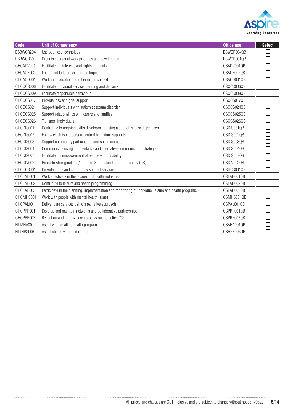

| Code      | <b>Unit of Competency</b>                                                                            | <b>Office use</b> | <b>Select</b>            |
|-----------|------------------------------------------------------------------------------------------------------|-------------------|--------------------------|
| BSBW0R204 | Use business technology                                                                              | BSW0R204QB        | Ξ                        |
| BSBW0R301 | Organise personal work priorities and development                                                    | BSWOR301QB        | $\Box$                   |
| CHCADV001 | Facilitate the interests and rights of clients                                                       | CSADV001QB        | $\Box$                   |
| CHCAGE002 | Implement falls prevention strategies                                                                | CSAGE002QB        | $\Box$                   |
| CHCAOD001 | Work in an alcohol and other drugs context                                                           | CSAOD001QB        | $\Box$                   |
| CHCCCS006 | Facilitate individual service planning and delivery                                                  | CSCCS006QB        | $\Box$                   |
| CHCCCS009 | Facilitate responsible behaviour                                                                     | CSCCS009QB        | $\Box$                   |
| CHCCCS017 | Provide loss and grief support                                                                       | CSCCS017QB        | $\overline{\phantom{a}}$ |
| CHCCCS024 | Support individuals with autism spectrum disorder                                                    | CSCCS024QB        | $\Box$                   |
| CHCCCS025 | Support relationships with carers and families                                                       | CSCCS025QB        | $\Box$                   |
| CHCCCS026 | Transport individuals                                                                                | CSCCS026QB        | $\Box$                   |
| CHCDIS001 | Contribute to ongoing skills development using a strengths-based approach                            | CSDIS001QB        | $\Box$                   |
| CHCDIS002 | Follow established person-centred behaviour supports                                                 | CSDIS002QB        | $\Box$                   |
| CHCDIS003 | Support community participation and social inclusion                                                 | CSDIS003QB        | L.                       |
| CHCDIS004 | Communicate using augmentative and alternative communication strategies                              | CSDIS004QB        | $\Box$                   |
| CHCDIS007 | Facilitate the empowerment of people with disability                                                 | CSDIS007QB        | $\Box$                   |
| CHCDIV002 | Promote Aboriginal and/or Torres Strait Islander cultural safety (CS)                                | CSDIV002QB        | $\Box$                   |
| CHCHCS001 | Provide home and community support services                                                          | CSHCS001QB        | $\Box$                   |
| CHCLAH001 | Work effectively in the leisure and health industries                                                | CSLAH001QB        | $\Box$                   |
| CHCLAH002 | Contribute to leisure and health programming                                                         | CSLAH002QB        | $\Box$                   |
| CHCLAH003 | Participate in the planning, implementation and monitoring of individual leisure and health programs | CSLAH003QB        | $\Box$                   |
| CHCMHS001 | Work with people with mental health issues                                                           | CSMHS001QB        | $\Box$                   |
| CHCPAL001 | Deliver care services using a palliative approach                                                    | CSPAL001QB        | $\Box$                   |
| CHCPRP001 | Develop and maintain networks and collaborative partnerships                                         | CSPRP001QB        | $\Box$                   |
| CHCPRP003 | Reflect on and improve own professional practice (CS)                                                | CSPRP003QB        | $\overline{\phantom{a}}$ |
| HLTAHA001 | Assist with an allied health program                                                                 | CSAHA001QB        | $\Box$                   |
| HLTHPS006 | Assist clients with medication                                                                       | CSHPS006QB        | $\Box$                   |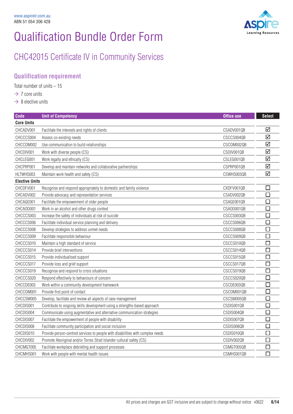

### CHC42015 Certificate IV in Community Services

### **Qualification requirement**

Total number of units  $-15$ 

- $\rightarrow$  7 core units
- $\rightarrow$  8 elective units

| <b>Code</b>           | <b>Unit of Competency</b>                                                      | <b>Office use</b> | <b>Select</b>               |
|-----------------------|--------------------------------------------------------------------------------|-------------------|-----------------------------|
| <b>Core Units</b>     |                                                                                |                   |                             |
| CHCADV001             | Facilitate the interests and rights of clients                                 | CSADV001QB        | ☑                           |
| CHCCCS004             | Assess co-existing needs                                                       | CSCCS004QB        | ☑                           |
| CHCCOM002             | Use communication to build relationships                                       | CSCOM002QB        | ☑                           |
| CHCDIV001             | Work with diverse people (CS)                                                  | CSDIV001QB        | ☑                           |
| CHCLEG001             | Work legally and ethically (CS)                                                | CSLEG001QB        | $\triangledown$             |
| CHCPRP001             | Develop and maintain networks and collaborative partnerships                   | CSPRP001QB        | ☑                           |
| HLTWHS003             | Maintain work health and safety (CS)                                           | CSWHS003QB        | ☑                           |
| <b>Elective Units</b> |                                                                                |                   |                             |
| CHCDFV001             | Recognise and respond appropriately to domestic and family violence            | CXDFV001QB        | $\Box$                      |
| CHCADV002             | Provide advocacy and representation services                                   | CSADV002QB        | $\Box$                      |
| CHCAGE001             | Facilitate the empowerment of older people                                     | CSAGE001QB        | П                           |
| CHCAOD001             | Work in an alcohol and other drugs context                                     | CSAOD001QB        | □                           |
| CHCCCS003             | Increase the safety of individuals at risk of suicide                          | CSCCS003QB        | $\Box$                      |
| CHCCCS006             | Facilitate individual service planning and delivery                            | CSCCS006QB        | $\Box$                      |
| CHCCCS008             | Develop strategies to address unmet needs                                      | CSCCS008QB        | $\Box$                      |
| CHCCCS009             | Facilitate responsible behaviour                                               | CSCCS009QB        | $\Box$                      |
| CHCCCS010             | Maintain a high standard of service                                            | CSCCS010QB        | $\Box$                      |
| CHCCCS014             | Provide brief interventions                                                    | CSCCS014QB        | $\Box$                      |
| CHCCCS015             | Provide individualised support                                                 | CSCCS015QB        | $\Box$                      |
| CHCCCS017             | Provide loss and grief support                                                 | CSCCS017QB        | $\Box$                      |
| CHCCCS019             | Recognise and respond to crisis situations                                     | CSCCS019QB        | □                           |
| CHCCCS020             | Respond effectively to behaviours of concern                                   | CSCCS020QB        | $\Box$                      |
| CHCCDE003             | Work within a community development framework                                  | CSCDE003QB        |                             |
| CHCCOM001             | Provide first point of contact                                                 | CSCOM001QB        | $\mathcal{L}_{\mathcal{A}}$ |
| CHCCSM005             | Develop, facilitate and review all aspects of case management                  | CSCSM005QB        | $\Box$                      |
| CHCDIS001             | Contribute to ongoing skills development using a strengths-based approach      | CSDIS001QB        | $\Box$                      |
| CHCDIS004             | Communicate using augmentative and alternative communication strategies        | CSDIS004QB        | L                           |
| CHCDIS007             | Facilitate the empowerment of people with disability                           | CSDIS007QB        | Π                           |
| CHCDIS008             | Facilitate community participation and social inclusion                        | CSDIS008QB        | $\Box$                      |
| CHCDIS010             | Provide person-centred services to people with disabilities with complex needs | CSDIS010QB        | $\Box$                      |
| CHCDIV002             | Promote Aboriginal and/or Torres Strait Islander cultural safety (CS)          | CSDIV002QB        | $\Box$                      |
| CHCMGT005             | Facilitate workplace debriefing and support processes                          | CSMGT005QB        | $\mathcal{L}_{\mathcal{A}}$ |
| CHCMHS001             | Work with people with mental health issues                                     | CSMHS001QB        | $\Box$                      |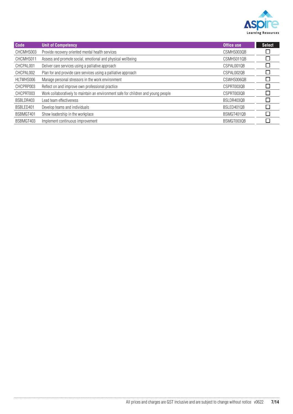

| Code      | <b>Unit of Competency</b>                                                          | <b>Office use</b> | <b>Select</b>               |
|-----------|------------------------------------------------------------------------------------|-------------------|-----------------------------|
| CHCMHS003 | Provide recovery oriented mental health services                                   | CSMHS003QB        |                             |
| CHCMHS011 | Assess and promote social, emotional and physical wellbeing                        | CSMHS0110B        |                             |
| CHCPAL001 | Deliver care services using a palliative approach                                  | CSPAL0010B        |                             |
| CHCPAL002 | Plan for and provide care services using a palliative approach                     | CSPAL0020B        |                             |
| HLTWHS006 | Manage personal stressors in the work environment                                  | CSWHS0060B        |                             |
| CHCPRP003 | Reflect on and improve own professional practice                                   | CSPRT0030B        | L.                          |
| CHCPRT003 | Work collaboratively to maintain an environment safe for children and young people | CSPRT003QB        | $\Box$                      |
| BSBLDR403 | Lead team effectiveness                                                            | BSLDR403QB        | Ξ                           |
| BSBLED401 | Develop teams and individuals                                                      | BSLED401QB        | $\mathcal{L}_{\mathcal{A}}$ |
| BSBMGT401 | Show leadership in the workplace                                                   | BSMGT401QB        | Ξ                           |
| BSBMGT403 | Implement continuous improvement                                                   | BSMGT003QB        |                             |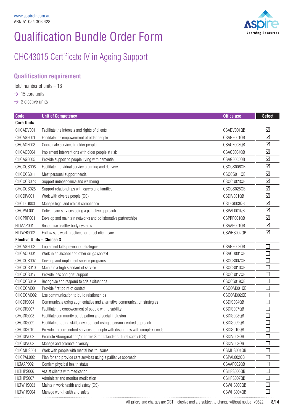

### CHC43015 Certificate IV in Ageing Support

### **Qualification requirement**

Total number of units – 18

- $\rightarrow$  15 core units
- $\rightarrow$  3 elective units

| <b>Code</b>               | <b>Unit of Competency</b>                                                      | <b>Office use</b>        | <b>Select</b>   |
|---------------------------|--------------------------------------------------------------------------------|--------------------------|-----------------|
| <b>Core Units</b>         |                                                                                |                          |                 |
| CHCADV001                 | Facilitate the interests and rights of clients                                 | CSADV001QB               | ☑               |
| CHCAGE001                 | Facilitate the empowerment of older people                                     | CSAGE001QB               | ☑               |
| CHCAGE003                 | Coordinate services to older people                                            | CSAGE003QB               | ☑               |
| CHCAGE004                 | Implement interventions with older people at risk                              | CSAGE004QB               | ☑               |
| CHCAGE005                 | Provide support to people living with dementia                                 | CSAGE005QB               | ☑               |
| CHCCCS006                 | Facilitate individual service planning and delivery                            | CSCCS006QB               | ☑               |
| CHCCCS011                 | Meet personal support needs                                                    | CSCCS011QB               | ☑               |
| CHCCCS023                 | Support independence and wellbeing                                             | CSCCS023QB               | $\triangledown$ |
| CHCCCS025                 | Support relationships with carers and families                                 | CSCCS025QB               | ☑               |
| CHCDIV001                 | Work with diverse people (CS)                                                  | CSDIV001QB               | ☑               |
| CHCLEG003                 | Manage legal and ethical compliance                                            | CSLEG003QB               | ☑               |
| CHCPAL001                 | Deliver care services using a palliative approach                              | CSPAL001QB               | ☑               |
| CHCPRP001                 | Develop and maintain networks and collaborative partnerships                   | CSPRP001QB               | ☑               |
| HLTAAP001                 | Recognise healthy body systems                                                 | CSAAP001QB               | ☑               |
| HLTWHS002                 | Follow safe work practices for direct client care                              | CSWHS002QB               | ☑               |
| Elective Units - Choose 3 |                                                                                |                          |                 |
| CHCAGE002                 | Implement falls prevention strategies                                          | CSAGE002QB               | $\Box$          |
| CHCAOD001                 | Work in an alcohol and other drugs context                                     | CSAOD001QB               | □               |
| CHCCCS007                 | Develop and implement service programs                                         | CSCCS007QB               | $\Box$          |
| CHCCCS010                 | Maintain a high standard of service                                            | CSCCS010QB               | □               |
| CHCCCS017                 | Provide loss and grief support                                                 | CSCCS017QB               | $\Box$          |
| CHCCCS019                 | Recognise and respond to crisis situations                                     | CSCCS019QB               | □               |
| CHCCOM001                 | Provide first point of contact                                                 | CSCOM001QB               | ٢               |
| CHCCOM002                 | Use communication to build relationships                                       | CSCOM002QB               | $\Box$          |
| CHCDIS004                 | Communicate using augmentative and alternative communication strategies        | CSDIS004QB               | $\Box$          |
| CHCDIS007                 | Facilitate the empowerment of people with disability                           | CSDIS007QB               | $\Box$          |
| CHCDIS008                 | Facilitate community participation and social inclusion                        | CSDIS008QB               | $\Box$          |
| CHCDIS009                 | Facilitate ongoing skills development using a person-centred approach          | CSDIS009QB               | $\Box$          |
| CHCDIS010                 | Provide person-centred services to people with disabilities with complex needs | CSDIS010QB               | $\Box$          |
| CHCDIV002                 | Promote Aboriginal and/or Torres Strait Islander cultural safety (CS)          | CSDIV002QB               | ப               |
| CHCDIV003                 | Manage and promote diversity                                                   | CSDIV003QB               | E               |
| CHCMHS001                 | Work with people with mental health issues                                     | CSMHS001QB               | $\Box$          |
| CHCPAL002                 | Plan for and provide care services using a palliative approach                 | CSPAL002QB               | $\Box$          |
| HLTAAP002                 | Confirm physical health status                                                 | CSAAP002QB               | П               |
| HLTHPS006                 | Assist clients with medication                                                 | CSHPS006QB               | $\Box$          |
| HLTHPS007                 | Administer and monitor medication                                              | CSHPS007QB               | $\Box$          |
| HLTWHS003<br>HLTWHS004    | Maintain work health and safety (CS)<br>Manage work health and safety          | CSWHS003QB<br>CSWHS004QB | □<br>П          |
|                           |                                                                                |                          |                 |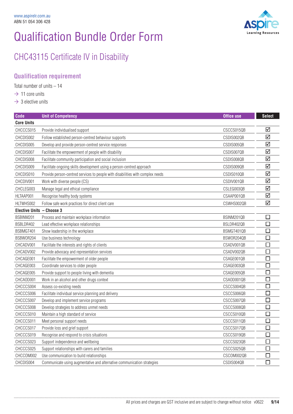

### CHC43115 Certificate IV in Disability

### **Qualification requirement**

Total number of units – 14

- $\rightarrow$  11 core units
- $\rightarrow$  3 elective units

| Code                      | <b>Unit of Competency</b>                                                      | Office use | <b>Select</b>   |
|---------------------------|--------------------------------------------------------------------------------|------------|-----------------|
| <b>Core Units</b>         |                                                                                |            |                 |
| CHCCCS015                 | Provide individualised support                                                 | CSCCS015QB | ☑               |
| CHCDIS002                 | Follow established person-centred behaviour supports                           | CSDIS002QB | ☑               |
| CHCDIS005                 | Develop and provide person-centred service responses                           | CSDIS005QB | ☑               |
| CHCDIS007                 | Facilitate the empowerment of people with disability                           | CSDIS007QB | ☑               |
| CHCDIS008                 | Facilitate community participation and social inclusion                        | CSDIS008QB | $\triangledown$ |
| CHCDIS009                 | Facilitate ongoing skills development using a person-centred approach          | CSDIS009QB | ☑               |
| CHCDIS010                 | Provide person-centred services to people with disabilities with complex needs | CSDIS010QB | ☑               |
| CHCDIV001                 | Work with diverse people (CS)                                                  | CSDIV001QB | ☑               |
| CHCLEG003                 | Manage legal and ethical compliance                                            | CSLEG003QB | ☑               |
| HLTAAP001                 | Recognise healthy body systems                                                 | CSAAP001QB | ☑               |
| HLTWHS002                 | Follow safe work practices for direct client care                              | CSWHS002QB | ☑               |
| Elective Units - Choose 3 |                                                                                |            |                 |
| BSBINM201                 | Process and maintain workplace information                                     | BSINM201QB | $\Box$          |
| BSBLDR402                 | Lead effective workplace relationships                                         | BSLDR402QB | П               |
| BSBMGT401                 | Show leadership in the workplace                                               | BSMGT401QB | $\Box$          |
| BSBW0R204                 | Use business technology                                                        | BSW0R204QB | □               |
| CHCADV001                 | Facilitate the interests and rights of clients                                 | CSADV001QB | □               |
| CHCADV002                 | Provide advocacy and representation services                                   | CSADV002QB | $\Box$          |
| CHCAGE001                 | Facilitate the empowerment of older people                                     | CSAGE001QB | П               |
| CHCAGE003                 | Coordinate services to older people                                            | CSAGE003QB | ⊔               |
| CHCAGE005                 | Provide support to people living with dementia                                 | CSAGE005QB | $\Box$          |
| CHCAOD001                 | Work in an alcohol and other drugs context                                     | CSAOD001QB | $\Box$          |
| CHCCCS004                 | Assess co-existing needs                                                       | CSCCS004QB | □               |
| CHCCCS006                 | Facilitate individual service planning and delivery                            | CSCCS006QB | $\Box$          |
| CHCCCS007                 | Develop and implement service programs                                         | CSCCS007QB | $\Box$          |
| CHCCCS008                 | Develop strategies to address unmet needs                                      | CSCCS008QB | □               |
| CHCCCS010                 | Maintain a high standard of service                                            | CSCCS010QB | $\Box$          |
| CHCCCS011                 | Meet personal support needs                                                    | CSCCS011QB | $\Box$          |
| CHCCCS017                 | Provide loss and grief support                                                 | CSCCS017QB | $\mathbf{L}$    |
| CHCCCS019                 | Recognise and respond to crisis situations                                     | CSCCS019QB | $\mathcal{L}$   |
| CHCCCS023                 | Support independence and wellbeing                                             | CSCCS023QB | $\Box$          |
| CHCCCS025                 | Support relationships with carers and families                                 | CSCCS025QB | $\Box$          |
| CHCCOM002                 | Use communication to build relationships                                       | CSCOM002QB | П               |
| CHCDIS004                 | Communicate using augmentative and alternative communication strategies        | CSDIS004QB |                 |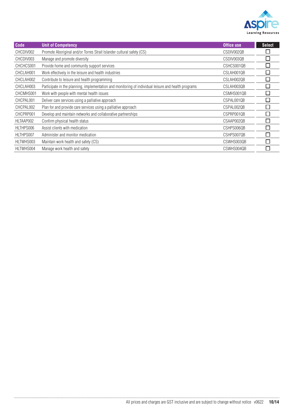

| <b>Code</b> | <b>Unit of Competency</b>                                                                            | Office use | <b>Select</b> |
|-------------|------------------------------------------------------------------------------------------------------|------------|---------------|
| CHCDIV002   | Promote Aboriginal and/or Torres Strait Islander cultural safety (CS)                                | CSDIV002QB |               |
| CHCDIV003   | Manage and promote diversity                                                                         | CSDIV003QB |               |
| CHCHCS001   | Provide home and community support services                                                          | CSHCS001QB | ٦             |
| CHCLAH001   | Work effectively in the leisure and health industries                                                | CSLAH001QB |               |
| CHCLAH002   | Contribute to leisure and health programming                                                         | CSLAH002QB |               |
| CHCLAH003   | Participate in the planning, implementation and monitoring of individual leisure and health programs | CSLAH003QB | T,            |
| CHCMHS001   | Work with people with mental health issues                                                           | CSMHS001QB |               |
| CHCPAL001   | Deliver care services using a palliative approach                                                    | CSPAL001QB |               |
| CHCPAL002   | Plan for and provide care services using a palliative approach                                       | CSPAL002QB | $\Box$        |
| CHCPRP001   | Develop and maintain networks and collaborative partnerships                                         | CSPRP001QB |               |
| HLTAAP002   | Confirm physical health status                                                                       | CSAAP0020B |               |
| HLTHPS006   | Assist clients with medication                                                                       | CSHPS006QB | $\mathcal{L}$ |
| HLTHPS007   | Administer and monitor medication                                                                    | CSHPS007QB |               |
| HLTWHS003   | Maintain work health and safety (CS)                                                                 | CSWHS003QB |               |
| HLTWHS004   | Manage work health and safety                                                                        | CSWHS004QB |               |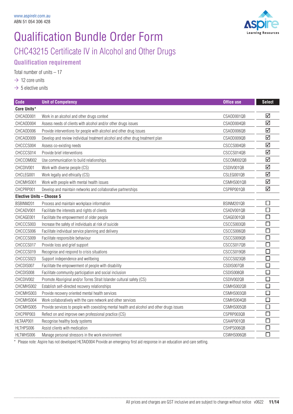

### Qualification Bundle Order Form CHC43215 Certificate IV in Alcohol and Other Drugs **Qualification requirement**

Total number of units – 17

 $\rightarrow$  12 core units

 $\rightarrow$  5 elective units

| <b>Code</b>               | <b>Unit of Competency</b>                                                                   | <b>Office use</b> | <b>Select</b>               |
|---------------------------|---------------------------------------------------------------------------------------------|-------------------|-----------------------------|
| Core Units*               |                                                                                             |                   |                             |
| CHCAOD001                 | Work in an alcohol and other drugs context                                                  | CSAOD001QB        | ☑                           |
| CHCAOD004                 | Assess needs of clients with alcohol and/or other drugs issues                              | CSAOD004QB        | ☑                           |
| CHCAOD006                 | Provide interventions for people with alcohol and other drug issues                         | CSAOD006QB        | $\overline{\mathsf{M}}$     |
| CHCAOD009                 | Develop and review individual treatment alcohol and other drug treatment plan               | CSAOD009QB        | ☑                           |
| CHCCCS004                 | Assess co-existing needs                                                                    | CSCCS004QB        | ☑                           |
| CHCCCS014                 | Provide brief interventions                                                                 | CSCCS014QB        | $\blacktriangledown$        |
| CHCCOM002                 | Use communication to build relationships                                                    | CSCOM002QB        | ☑                           |
| CHCDIV001                 | Work with diverse people (CS)                                                               | CSDIV001QB        | ☑                           |
| CHCLEG001                 | Work legally and ethically (CS)                                                             | CSLEG001QB        | ☑                           |
| CHCMHS001                 | Work with people with mental health issues                                                  | CSMHS001QB        | ☑                           |
| CHCPRP001                 | Develop and maintain networks and collaborative partnerships                                | CSPRP001QB        | ☑                           |
| Elective Units - Choose 5 |                                                                                             |                   |                             |
| BSBINM201                 | Process and maintain workplace information                                                  | BSINM201QB        | □                           |
| CHCADV001                 | Facilitate the interests and rights of clients                                              | CSADV001QB        | П                           |
| CHCAGE001                 | Facilitate the empowerment of older people                                                  | CSAGE001QB        | $\Box$                      |
| CHCCCS003                 | Increase the safety of individuals at risk of suicide                                       | CSCCS003QB        | $\Box$                      |
| CHCCCS006                 | Facilitate individual service planning and delivery                                         | CSCCS006QB        | $\mathcal{L}_{\mathcal{A}}$ |
| CHCCCS009                 | Facilitate responsible behaviour                                                            | CSCCS009QB        | $\Box$                      |
| CHCCCS017                 | Provide loss and grief support                                                              | CSCCS017QB        | □                           |
| CHCCCS019                 | Recognise and respond to crisis situations                                                  | CSCCS019QB        | $\Box$                      |
| CHCCCS023                 | Support independence and wellbeing                                                          | CSCCS023QB        | □                           |
| CHCDIS007                 | Facilitate the empowerment of people with disability                                        | CSDIS007QB        | $\Box$                      |
| CHCDIS008                 | Facilitate community participation and social inclusion                                     | CSDIS008QB        | $\Box$                      |
| CHCDIV002                 | Promote Aboriginal and/or Torres Strait Islander cultural safety (CS)                       | CSDIV002QB        | $\Box$                      |
| CHCMHS002                 | Establish self-directed recovery relationships                                              | CSMHS002QB        | □                           |
| CHCMHS003                 | Provide recovery oriented mental health services                                            | CSMHS003QB        | П                           |
| CHCMHS004                 | Work collaboratively with the care network and other services                               | CSMHS004QB        | $\Box$                      |
| CHCMHS005                 | Provide services to people with coexisting mental health and alcohol and other drugs issues | CSMHS005QB        | $\Box$                      |
| CHCPRP003                 | Reflect on and improve own professional practice (CS)                                       | CSPRP003QB        | $\Box$                      |
| HLTAAP001                 | Recognise healthy body systems                                                              | CSAAP001QB        | $\mathcal{L}_{\mathcal{A}}$ |
| HLTHPS006                 | Assist clients with medication                                                              | CSHPS006QB        | $\Box$                      |
| HLTWHS006                 | Manage personal stressors in the work environment                                           | CSWHS006QB        | $\Box$                      |

\* Please note: Aspire has not developed HLTAID004 Provide an emergency first aid response in an education and care setting.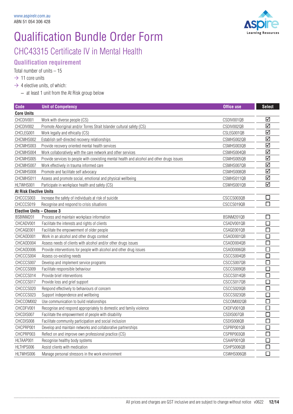

CHC43315 Certificate IV in Mental Health

#### **Qualification requirement**

Total number of units – 15

- $\rightarrow$  11 core units
- $\rightarrow$  4 elective units, of which:

– at least 1 unit from the At Risk group below

| <b>Code</b>                   | <b>Unit of Competency</b>                                                                   | <b>Office use</b> | <b>Select</b>  |
|-------------------------------|---------------------------------------------------------------------------------------------|-------------------|----------------|
| <b>Core Units</b>             |                                                                                             |                   |                |
| CHCDIV001                     | Work with diverse people (CS)                                                               | CSDIV001QB        | ☑              |
| CHCDIV002                     | Promote Aboriginal and/or Torres Strait Islander cultural safety (CS)                       | CSDIV002QB        | ☑              |
| CHCLEG001                     | Work legally and ethically (CS)                                                             | CSLEG001QB        | ☑              |
| CHCMHS002                     | Establish self-directed recovery relationships                                              | CSMHS002QB        | ☑              |
| CHCMHS003                     | Provide recovery oriented mental health services                                            | CSMHS003QB        | ☑              |
| CHCMHS004                     | Work collaboratively with the care network and other services                               | CSMHS004QB        | ☑              |
| CHCMHS005                     | Provide services to people with coexisting mental health and alcohol and other drugs issues | CSMHS005QB        | ☑              |
| CHCMHS007                     | Work effectively in trauma informed care                                                    | CSMHS007QB        | ☑              |
| CHCMHS008                     | Promote and facilitate self advocacy                                                        | CSMHS008QB        | ☑              |
| CHCMHS011                     | Assess and promote social, emotional and physical wellbeing                                 | CSMHS011QB        | ☑              |
| HLTWHS001                     | Participate in workplace health and safety (CS)                                             | CSWHS001QB        | ☑              |
| <b>At Risk Elective Units</b> |                                                                                             |                   |                |
| CHCCCS003                     | Increase the safety of individuals at risk of suicide                                       | CSCCS003QB        | $\Box$         |
| CHCCCS019                     | Recognise and respond to crisis situations                                                  | CSCCS019QB        | $\Box$         |
| Elective Units - Choose 3     |                                                                                             |                   |                |
| BSBINM201                     | Process and maintain workplace information                                                  | BSINM201QB        | $\Box$         |
| CHCADV001                     | Facilitate the interests and rights of clients                                              | CSADV001QB        | П              |
| CHCAGE001                     | Facilitate the empowerment of older people                                                  | CSAGE001QB        | $\Box$         |
| CHCAOD001                     | Work in an alcohol and other drugs context                                                  | CSAOD001QB        | П              |
| CHCAOD004                     | Assess needs of clients with alcohol and/or other drugs issues                              | CSAOD004QB        | $\Box$         |
| CHCAOD006                     | Provide interventions for people with alcohol and other drug issues                         | CSAOD006QB        | П              |
| CHCCCS004                     | Assess co-existing needs                                                                    | CSCCS004QB        | П              |
| CHCCCS007                     | Develop and implement service programs                                                      | CSCCS007QB        | П              |
| CHCCCS009                     | Facilitate responsible behaviour                                                            | CSCCS009QB        | $\mathbb{Z}^2$ |
| CHCCCS014                     | Provide brief interventions                                                                 | CSCCS014QB        | $\Box$         |
| CHCCCS017                     | Provide loss and grief support                                                              | CSCCS017QB        | $\Box$         |
| CHCCCS020                     | Respond effectively to behaviours of concern                                                | CSCCS020QB        | П              |
| CHCCCS023                     | Support independence and wellbeing                                                          | CSCCS023QB        | $\Box$         |
| CHCCOM002                     | Use communication to build relationships                                                    | CSCOM002QB        | $\Box$         |
| CHCDFV001                     | Recognise and respond appropriately to domestic and family violence                         | CXDFV001QB        | $\Box$         |
| CHCDIS007                     | Facilitate the empowerment of people with disability                                        | CSDIS007QB        | П              |
| CHCDIS008                     | Facilitate community participation and social inclusion                                     | CSDIS008QB        | $\Box$         |
| CHCPRP001                     | Develop and maintain networks and collaborative partnerships                                | CSPRP001QB        | Π              |
| CHCPRP003                     | Reflect on and improve own professional practice (CS)                                       | CSPRP003QB        | $\Box$         |
| HLTAAP001                     | Recognise healthy body systems                                                              | CSAAP001QB        | □              |
| HLTHPS006                     | Assist clients with medication                                                              | CSHPS006QB        | $\Box$         |
| HLTWHS006                     | Manage personal stressors in the work environment                                           | CSWHS006QB        | $\Box$         |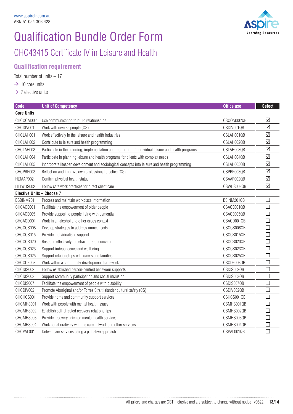

### CHC43415 Certificate IV in Leisure and Health

#### **Qualification requirement**

Total number of units  $-17$ 

#### $\rightarrow$  10 core units

 $\rightarrow$  7 elective units

| <b>Code</b>               | <b>Unit of Competency</b>                                                                            | <b>Office use</b> | <b>Select</b>               |
|---------------------------|------------------------------------------------------------------------------------------------------|-------------------|-----------------------------|
| <b>Core Units</b>         |                                                                                                      |                   |                             |
| CHCCOM002                 | Use communication to build relationships                                                             | CSCOM002QB        | ☑                           |
| CHCDIV001                 | Work with diverse people (CS)                                                                        | CSDIV001QB        | ☑                           |
| CHCLAH001                 | Work effectively in the leisure and health industries                                                | CSLAH001QB        | ☑                           |
| CHCLAH002                 | Contribute to leisure and health programming                                                         | CSLAH002QB        | ☑                           |
| CHCLAH003                 | Participate in the planning, implementation and monitoring of individual leisure and health programs | CSLAH003QB        | ☑                           |
| CHCLAH004                 | Participate in planning leisure and health programs for clients with complex needs                   | CSLAH004QB        | ☑                           |
| CHCLAH005                 | Incorporate lifespan development and sociological concepts into leisure and health programming       | CSLAH005QB        | ☑                           |
| CHCPRP003                 | Reflect on and improve own professional practice (CS)                                                | CSPRP003QB        | $\triangledown$             |
| HLTAAP002                 | Confirm physical health status                                                                       | CSAAP002QB        | ☑                           |
| HLTWHS002                 | Follow safe work practices for direct client care                                                    | CSWHS002QB        | ☑                           |
| Elective Units - Choose 7 |                                                                                                      |                   |                             |
| BSBINM201                 | Process and maintain workplace information                                                           | BSINM201QB        | ⊔                           |
| CHCAGE001                 | Facilitate the empowerment of older people                                                           | CSAGE001QB        | $\Box$                      |
| CHCAGE005                 | Provide support to people living with dementia                                                       | CSAGE005QB        | $\Box$                      |
| CHCAOD001                 | Work in an alcohol and other drugs context                                                           | CSAOD001QB        | $\Box$                      |
| CHCCCS008                 | Develop strategies to address unmet needs                                                            | CSCCS008QB        | □                           |
| CHCCCS015                 | Provide individualised support                                                                       | CSCCS015QB        | $\Box$                      |
| CHCCCS020                 | Respond effectively to behaviours of concern                                                         | CSCCS020QB        | $\sim$                      |
| CHCCCS023                 | Support independence and wellbeing                                                                   | CSCCS023QB        | $\overline{\phantom{0}}$    |
| CHCCCS025                 | Support relationships with carers and families                                                       | CSCCS025QB        | $\Box$                      |
| CHCCDE003                 | Work within a community development framework                                                        | CSCDE003QB        | $\Box$                      |
| CHCDIS002                 | Follow established person-centred behaviour supports                                                 | CSDIS002QB        | 口                           |
| CHCDIS003                 | Support community participation and social inclusion                                                 | CSDIS003QB        | $\Box$                      |
| CHCDIS007                 | Facilitate the empowerment of people with disability                                                 | CSDIS007QB        |                             |
| CHCDIV002                 | Promote Aboriginal and/or Torres Strait Islander cultural safety (CS)                                | CSDIV002QB        | $\Box$                      |
| CHCHCS001                 | Provide home and community support services                                                          | CSHCS001QB        |                             |
| CHCMHS001                 | Work with people with mental health issues                                                           | CSMHS001QB        | □                           |
| CHCMHS002                 | Establish self-directed recovery relationships                                                       | CSMHS002QB        | $\mathcal{L}_{\mathcal{A}}$ |
| CHCMHS003                 | Provide recovery oriented mental health services                                                     | CSMHS003QB        | $\Box$                      |
| CHCMHS004                 | Work collaboratively with the care network and other services                                        | CSMHS004QB        | $\mathbf{I}$                |
| CHCPAL001                 | Deliver care services using a palliative approach                                                    | CSPAL001QB        | $\Box$                      |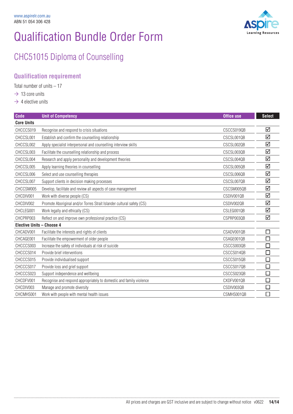

## CHC51015 Diploma of Counselling

### **Qualification requirement**

Total number of units – 17

- $\rightarrow$  13 core units
- $\rightarrow$  4 elective units

| <b>Code</b>                      | <b>Unit of Competency</b>                                             | Office use | <b>Select</b> |
|----------------------------------|-----------------------------------------------------------------------|------------|---------------|
| <b>Core Units</b>                |                                                                       |            |               |
| CHCCCS019                        | Recognise and respond to crisis situations                            | CSCCS019QB | ☑             |
| CHCCSL001                        | Establish and confirm the counselling relationship                    | CSCSL001QB | ☑             |
| CHCCSL002                        | Apply specialist interpersonal and counselling interview skills       | CSCSL002QB | ☑             |
| CHCCSL003                        | Facilitate the counselling relationship and process                   | CSCSL003QB | ☑             |
| CHCCSL004                        | Research and apply personality and development theories               | CSCSL004QB | ☑             |
| CHCCSL005                        | Apply learning theories in counselling                                | CSCSL005QB | ☑             |
| CHCCSL006                        | Select and use counselling therapies                                  | CSCSL006QB | ☑             |
| CHCCSL007                        | Support clients in decision making processes                          | CSCSL007QB | ☑             |
| CHCCSM005                        | Develop, facilitate and review all aspects of case management         | CSCSM005QB | ☑             |
| CHCDIV001                        | Work with diverse people (CS)                                         | CSDIV001QB | ☑             |
| CHCDIV002                        | Promote Aboriginal and/or Torres Strait Islander cultural safety (CS) | CSDIV002QB | ☑             |
| CHCLEG001                        | Work legally and ethically (CS)                                       | CSLEG001QB | ☑             |
| CHCPRP003                        | Reflect on and improve own professional practice (CS)                 | CSPRP003QB | ☑             |
| <b>Elective Units - Choose 4</b> |                                                                       |            |               |
| CHCADV001                        | Facilitate the interests and rights of clients                        | CSADV001QB | □             |
| CHCAGE001                        | Facilitate the empowerment of older people                            | CSAGE001QB | $\Box$        |
| CHCCCS003                        | Increase the safety of individuals at risk of suicide                 | CSCCS003QB | $\Box$        |
| CHCCCS014                        | Provide brief interventions                                           | CSCCS014QB | П             |
| CHCCCS015                        | Provide individualised support                                        | CSCCS015QB | □             |
| CHCCCS017                        | Provide loss and grief support                                        | CSCCS017QB | $\Box$        |
| CHCCCS023                        | Support independence and wellbeing                                    | CSCCS023QB | □             |
| CHCDFV001                        | Recognise and respond appropriately to domestic and family violence   | CXDFV001QB | $\Box$        |
| CHCDIV003                        | Manage and promote diversity                                          | CSDIV003QB | $\Box$        |
| CHCMHS001                        | Work with people with mental health issues                            | CSMHS001QB | □             |

. . . . . .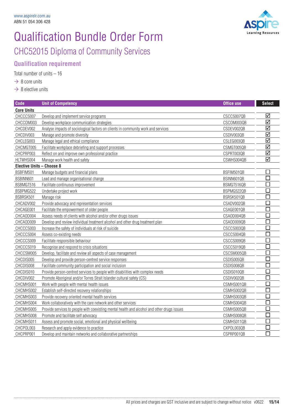

## Qualification Bundle Order Form CHC52015 Diploma of Community Services

### **Qualification requirement**

Total number of units – 16

 $\rightarrow$  8 core units

 $\rightarrow$  8 elective units

| <b>Code</b>                      | <b>Unit of Competency</b>                                                                   | <b>Office use</b> | <b>Select</b>   |
|----------------------------------|---------------------------------------------------------------------------------------------|-------------------|-----------------|
| <b>Core Units</b>                |                                                                                             |                   |                 |
| CHCCCS007                        | Develop and implement service programs                                                      | CSCCS007QB        | ☑               |
| CHCCOM003                        | Develop workplace communication strategies                                                  | CSCOM003QB        | ☑               |
| CHCDEV002                        | Analyse impacts of sociological factors on clients in community work and services           | CSDEV002QB        | ☑               |
| CHCDIV003                        | Manage and promote diversity                                                                | CSDIV003QB        | $\triangledown$ |
| CHCLEG003                        | Manage legal and ethical compliance                                                         | CSLEG003QB        | ☑               |
| CHCMGT005                        | Facilitate workplace debriefing and support processes                                       | CSMGT005QB        | ☑               |
| CHCPRP003                        | Reflect on and improve own professional practice                                            | CSPRT003QB        | ☑               |
| HLTWHS004                        | Manage work health and safety                                                               | CSWHS004QB        | $\triangledown$ |
| <b>Elective Units - Choose 8</b> |                                                                                             |                   |                 |
| BSBFIM501                        | Manage budgets and financial plans                                                          | BSFIM501QB        | $\Box$          |
| BSBINN601                        | Lead and manage organisational change                                                       | BSINN601QB        |                 |
| BSBMGT516                        | Facilitate continuous improvement                                                           | BSMGT516QB        |                 |
| BSBPMG522                        | Undertake project work                                                                      | BSPMG522QB        |                 |
| BSBRSK501                        | Manage risk                                                                                 | BSRSK501QB        |                 |
| CHCADV002                        | Provide advocacy and representation services                                                | CSADV002QB        |                 |
| CHCAGE001                        | Facilitate the empowerment of older people                                                  | CSAGE001QB        |                 |
| CHCAOD004                        | Assess needs of clients with alcohol and/or other drugs issues                              | CSAOD004QB        |                 |
| CHCAOD009                        | Develop and review individual treatment alcohol and other drug treatment plan               | CSAOD009QB        | П               |
| CHCCCS003                        | Increase the safety of individuals at risk of suicide                                       | CSCCS003QB        | П               |
| CHCCCS004                        | Assess co-existing needs                                                                    | CSCCS004QB        | П               |
| CHCCCS009                        | Facilitate responsible behaviour                                                            | CSCCS009QB        | П               |
| CHCCCS019                        | Recognise and respond to crisis situations                                                  | CSCCS019QB        | П               |
| CHCCSM005                        | Develop, facilitate and review all aspects of case management                               | CSCSM005QB        | П               |
| CHCDIS005                        | Develop and provide person-centred service responses                                        | CSDIS005QB        | n               |
| CHCDIS008                        | Facilitate community participation and social inclusion                                     | CSDIS008QB        |                 |
| CHCDIS010                        | Provide person-centred services to people with disabilities with complex needs              | CSDIS010QB        |                 |
| CHCDIV002                        | Promote Aboriginal and/or Torres Strait Islander cultural safety (CS)                       | CSDIV002QB        |                 |
| CHCMHS001                        | Work with people with mental health issues                                                  | CSMHS001QB        | П               |
| CHCMHS002                        | Establish self-directed recovery relationships                                              | CSMHS002QB        |                 |
| CHCMHS003                        | Provide recovery oriented mental health services                                            | CSMHS003QB        | $\Box$          |
| CHCMHS004                        | Work collaboratively with the care network and other services                               | CSMHS004QB        | $\Box$          |
| CHCMHS005                        | Provide services to people with coexisting mental health and alcohol and other drugs issues | CSMHS005QB        | □               |
| CHCMHS008                        | Promote and facilitate self advocacy                                                        | CSMHS008QB        | P.              |
| CHCMHS011                        | Assess and promote social, emotional and physical wellbeing                                 | CSMHS011QB        | m.              |
| CHCPOL003                        | Research and apply evidence to practice                                                     | CXPOL003QB        | Π               |
| CHCPRP001                        | Develop and maintain networks and collaborative partnerships                                | CSPRP001QB        | П               |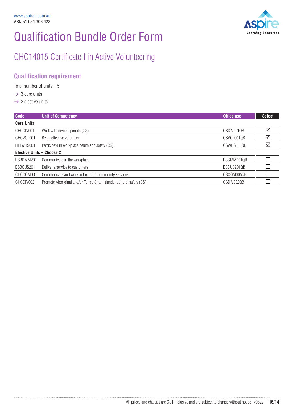

### CHC14015 Certificate I in Active Volunteering

### **Qualification requirement**

Total number of units  $-5$ 

- $\rightarrow$  3 core units
- $\rightarrow$  2 elective units

| <b>Code</b>                      | Unit of Competency                                                    | Office use | <b>Select</b> |
|----------------------------------|-----------------------------------------------------------------------|------------|---------------|
| <b>Core Units</b>                |                                                                       |            |               |
| CHCDIV001                        | Work with diverse people (CS)                                         | CSDIV001QB | ☑             |
| CHCVOL001                        | Be an effective volunteer                                             | CSVOL001QB | ☑             |
| HLTWHS001                        | Participate in workplace health and safety (CS)                       | CSWHS001QB | ☑             |
| <b>Elective Units - Choose 2</b> |                                                                       |            |               |
| BSBCMM201                        | Communicate in the workplace                                          | BSCMM201QB |               |
| BSBCUS201                        | Deliver a service to customers                                        | BSCUS201QB |               |
| CHCCOM005                        | Communicate and work in health or community services                  | CSCOM005QB |               |
| CHCDIV002                        | Promote Aboriginal and/or Torres Strait Islander cultural safety (CS) | CSDIV002QB |               |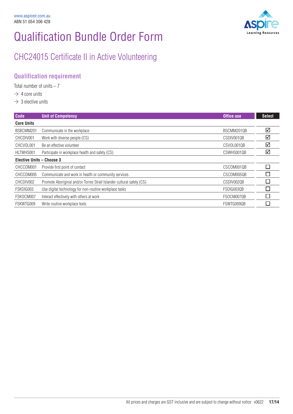

### CHC24015 Certificate II in Active Volunteering

### **Qualification requirement**

Total number of units  $-7$ 

- $\rightarrow$  4 core units
- $\rightarrow$  3 elective units

| <b>Code</b>               | <b>Unit of Competency</b>                                             | Office use | <b>Select</b> |
|---------------------------|-----------------------------------------------------------------------|------------|---------------|
| <b>Core Units</b>         |                                                                       |            |               |
| BSBCMM201                 | Communicate in the workplace                                          | BSCMM2010B | ☑             |
| CHCDIV001                 | Work with diverse people (CS)                                         | CSDIV001QB | ☑             |
| CHCVOL001                 | Be an effective volunteer                                             | CSVOL001QB | ☑             |
| HLTWHS001                 | Participate in workplace health and safety (CS)                       | CSWHS001QB | ☑             |
| Elective Units - Choose 3 |                                                                       |            |               |
| CHCCOM001                 | Provide first point of contact                                        | CSCOM001QB | ٦             |
| CHCCOM005                 | Communicate and work in health or community services                  | CSCOM005QB | Ξ             |
| CHCDIV002                 | Promote Aboriginal and/or Torres Strait Islander cultural safety (CS) | CSDIV002QB | Ξ             |
| FSKDIG003                 | Use digital technology for non-routine workplace tasks                | FSDIG003QB |               |
| FSKOCM007                 | Interact effectively with others at work                              | FSOCM0070B |               |
| FSKWTG009                 | Write routine workplace texts                                         | FSWTG0090B |               |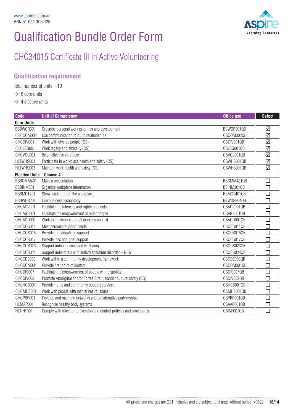

### CHC34015 Certificate III in Active Volunteering

### **Qualification requirement**

Total number of units – 10

- $\rightarrow 6$  core units
- $\rightarrow$  4 elective units

| <b>Code</b>                      | <b>Unit of Competency</b>                                             | <b>Office use</b> | <b>Select</b>               |
|----------------------------------|-----------------------------------------------------------------------|-------------------|-----------------------------|
| <b>Core Units</b>                |                                                                       |                   |                             |
| BSBW0R301                        | Organise personal work priorities and development                     | BSW0R301QB        | ☑                           |
| CHCCOM002                        | Use communication to build relationships                              | CSCOM002QB        | ☑                           |
| CHCDIV001                        | Work with diverse people (CS)                                         | CSDIV001QB        | $\triangledown$             |
| CHCLEG001                        | Work legally and ethically (CS)                                       | CSLEG001QB        | ☑                           |
| CHCVOL001                        | Be an effective volunteer                                             | CSVOL001QB        | ☑                           |
| HLTWHS001                        | Participate in workplace health and safety (CS)                       | CSWHS001QB        | ☑                           |
| HLTWHS003                        | Maintain work health and safety (CS)                                  | CSWHS003QB        | ☑                           |
| <b>Elective Units - Choose 4</b> |                                                                       |                   |                             |
| BSBCMM401                        | Make a presentation                                                   | BSCMM401QB        | $\mathcal{L}_{\mathcal{A}}$ |
| BSBINM301                        | Organise workplace information                                        | BSINM301QB        | $\Box$                      |
| BSBMGT401                        | Show leadership in the workplace                                      | BSMGT401QB        |                             |
| BSBW0R204                        | Use business technology                                               | BSW0R204QB        | $\Box$                      |
| CHCADV001                        | Facilitate the interests and rights of clients                        | CSADV001QB        |                             |
| CHCAGE001                        | Facilitate the empowerment of older people                            | CSAGE001QB        | l.                          |
| CHCAOD001                        | Work in an alcohol and other drugs context                            | CSAOD001QB        | П                           |
| CHCCCS011                        | Meet personal support needs                                           | CSCCS011QB        | I.                          |
| CHCCCS015                        | Provide individualised support                                        | CSCCS015QB        | $\Box$                      |
| CHCCCS017                        | Provide loss and grief support                                        | CSCCS017QB        | $\mathcal{L}_{\mathcal{A}}$ |
| CHCCCS023                        | Support independence and wellbeing                                    | CSCCS023QB        |                             |
| CHCCCS024                        | Support individuals with autism spectrum disorder - NEW               | CSCCS024QB        | $\Box$                      |
| CHCCDE003                        | Work within a community development framework                         | CSCDE003QB        | П                           |
| CHCCOM001                        | Provide first point of contact                                        | CSCOM001QB        | <b>T</b>                    |
| CHCDIS007                        | Facilitate the empowerment of people with disability                  | CSDIS007QB        | $\Box$                      |
| CHCDIV002                        | Promote Aboriginal and/or Torres Strait Islander cultural safety (CS) | CSDIV002QB        | $\Box$                      |
| CHCHCS001                        | Provide home and community support services                           | CSHCS001QB        |                             |
| CHCMHS001                        | Work with people with mental health issues                            | CSMHS001QB        |                             |
| CHCPRP001                        | Develop and maintain networks and collaborative partnerships          | CSPRP001QB        | П                           |
| HLTAAP001                        | Recognise healthy body systems                                        | CSAAP001QB        |                             |
| HLTINF001                        | Comply with infection prevention and control policies and procedures  | CSINF001QB        | П                           |